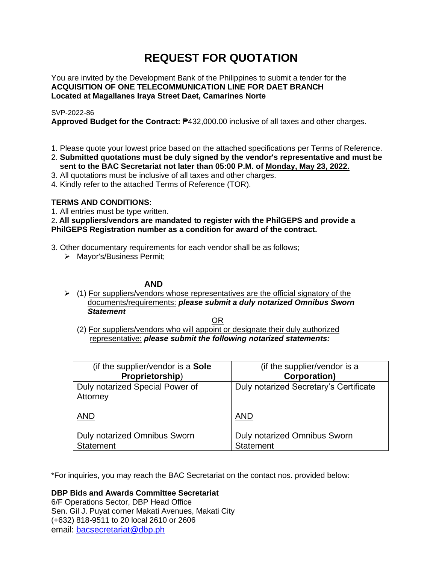# **REQUEST FOR QUOTATION**

You are invited by the Development Bank of the Philippines to submit a tender for the **ACQUISITION OF ONE TELECOMMUNICATION LINE FOR DAET BRANCH Located at Magallanes Iraya Street Daet, Camarines Norte**

## SVP-2022-86

**Approved Budget for the Contract:** ₱432,000.00 inclusive of all taxes and other charges.

- 1. Please quote your lowest price based on the attached specifications per Terms of Reference.
- 2. **Submitted quotations must be duly signed by the vendor's representative and must be sent to the BAC Secretariat not later than 05:00 P.M. of Monday, May 23, 2022.**
- 3. All quotations must be inclusive of all taxes and other charges.
- 4. Kindly refer to the attached Terms of Reference (TOR).

# **TERMS AND CONDITIONS:**

1. All entries must be type written.

# 2**. All suppliers/vendors are mandated to register with the PhilGEPS and provide a PhilGEPS Registration number as a condition for award of the contract.**

- 3. Other documentary requirements for each vendor shall be as follows;
	- ➢ Mayor's/Business Permit;

# **AND**

 $\geq$  (1) For suppliers/vendors whose representatives are the official signatory of the documents/requirements: *please submit a duly notarized Omnibus Sworn Statement*

<u>OR Starting and the Starting OR Starting</u>

(2) For suppliers/vendors who will appoint or designate their duly authorized representative: *please submit the following notarized statements:*

| (if the supplier/vendor is a Sole                | (if the supplier/vendor is a                     |
|--------------------------------------------------|--------------------------------------------------|
| Proprietorship)                                  | <b>Corporation)</b>                              |
| Duly notarized Special Power of<br>Attorney      | Duly notarized Secretary's Certificate           |
| <b>AND</b>                                       | <b>AND</b>                                       |
| Duly notarized Omnibus Sworn<br><b>Statement</b> | Duly notarized Omnibus Sworn<br><b>Statement</b> |

\*For inquiries, you may reach the BAC Secretariat on the contact nos. provided below:

**DBP Bids and Awards Committee Secretariat**  6/F Operations Sector, DBP Head Office

Sen. Gil J. Puyat corner Makati Avenues, Makati City (+632) 818-9511 to 20 local 2610 or 2606 email: [bacsecretariat@dbp.ph](mailto:bacsecretariat@dbp.ph)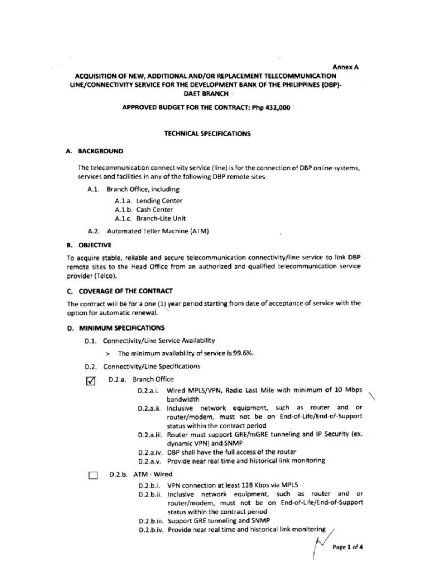**Annex A** 

# ACQUISITION OF NEW. ADDITIONAL AND/OR REPLACEMENT TELECOMMUNICATION LINE/CONNECTIVITY SERVICE FOR THE DEVELOPMENT BANK OF THE PHILIPPINES (DBP)-**DAET BRANCH**

#### APPROVED BUDGET FOR THE CONTRACT: Php 432,000

#### **TECHNICAL SPECIFICATIONS**

#### A. BACKGROUND

The telecommunication connectivity service (line) is for the connection of DBP online systems. services and facilities in any of the following DBP remote sites:

A.1. Branch Office, including:

A.1.a. Lending Center

A.1.b. Cash Center

A.1.c. Branch-Lite Unit

A.2. Automated Teller Machine (ATM)

#### **B. OBJECTIVE**

To acquire stable, reliable and secure telecommunication connectivity/line service to link DBP remote sites to the Head Office from an authorized and qualified telecommunication service provider (Telco).

#### C. COVERAGE OF THE CONTRACT

The contract will be for a one (1) year period starting from date of acceptance of service with the option for automatic renewal.

#### D. MINIMUM SPECIFICATIONS

- D.1. Connectivity/Line Service Availability
	- > The minimum availability of service is 99.6%.
- D.2. Connectivity/Line Specifications
- D.2.a. Branch Office ⊽
	- D.2.a.i. Wired MPLS/VPN, Radio Last Mile with minimum of 10 Mbps bandwidth
	- D.2.a.ii. Inclusive network equipment, such as router and or router/modem, must not be on End-of-Life/End-of-Support status within the contract period
	- D.2.a.iii. Router must support GRE/mGRE tunneling and IP Security (ex. dynamic VPN) and SNMP
	- D.2.a.iv. DBP shall have the full access of the router
	- D.2.a.v. Provide near real time and historical link monitoring

## D.2.b. ATM - Wired

- D.2.b.i. VPN connection at least 128 Kbps via MPLS
- D.2.b.ii. Inclusive network equipment, such as router and or router/modem, must not be on End-of-Life/End-of-Support status within the contract period
- D.2.b.iii. Support GRE tunneling and SNMP
- D.2.b.iv. Provide near real time and historical link monitoring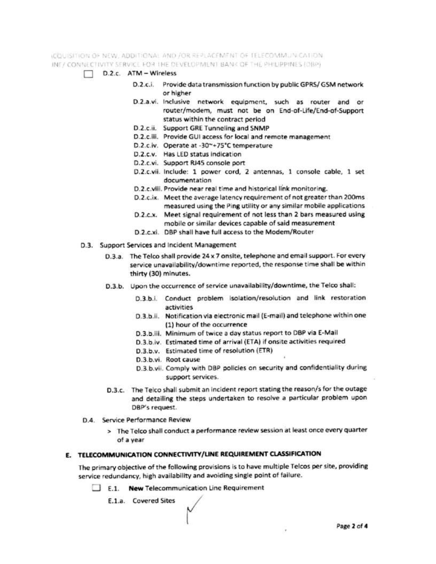#### LODUISITION OF NEW, ADDITIONAL AND JOR REPLACEMENT OF TELECOMMUNICATION. INF / CONNECTIVITY SERVICE FOR THE DEVELOPMENT BANK OF THE PHILIPPINES (OBP)

- D.2.c. ATM Wireless п
	- D.2.c.i. Provide data transmission function by public GPRS/ GSM network or higher
	- D.2.a.vi. Inclusive network equipment, such as router and or router/modem, must not be on End-of-Life/End-of-Support status within the contract period
	- D.2.c.ii. Support GRE Tunneling and SNMP
	- D.2.c.iii. Provide GUI access for local and remote management
	- D.2.c.iv. Operate at -30~+75°C temperature
	- D.2.c.v. Has LED status indication
	- D.2.c.vi. Support RJ45 console port
	- D.2.c.vii. Include: 1 power cord, 2 antennas, 1 console cable, 1 set documentation
	- D.2.c.viii. Provide near real time and historical link monitoring.
	- D.2.c.ix. Meet the average latency requirement of not greater than 200ms measured using the Ping utility or any similar mobile applications
	- D.2.c.x. Meet signal requirement of not less than 2 bars measured using mobile or similar devices capable of said measurement
	- D.2.c.xi. DBP shall have full access to the Modem/Router
- D.3. Support Services and Incident Management
	- D.3.a. The Telco shall provide 24 x 7 onsite, telephone and email support. For every service unavailability/downtime reported, the response time shall be within thirty (30) minutes.
	- D.3.b. Upon the occurrence of service unavailability/downtime, the Telco shall:
		- D.3.b.i. Conduct problem isolation/resolution and link restoration activities
		- D.3.b.ii. Notification via electronic mail (E-mail) and telephone within one (1) hour of the occurrence
		- D.3.b.iii. Minimum of twice a day status report to DBP via E-Mail
		- D.3.b.iv. Estimated time of arrival (ETA) if onsite activities required
		- D.3.b.v. Estimated time of resolution (ETR)
		- D.3.b.vi. Root cause
		- D.3.b.vii. Comply with DBP policies on security and confidentiality during support services.

 $\theta$ 

- D.3.c. The Telco shall submit an incident report stating the reason/s for the outage and detailing the steps undertaken to resolve a particular problem upon DBP's request.
- D.4. Service Performance Review
	- > The Telco shall conduct a performance review session at least once every quarter of a year

## E. TELECOMMUNICATION CONNECTIVITY/LINE REQUIREMENT CLASSIFICATION

The primary objective of the following provisions is to have multiple Telcos per site, providing service redundancy, high availability and avoiding single point of failure.

E.1. New Telecommunication Line Requirement

E.1.a. Covered Sites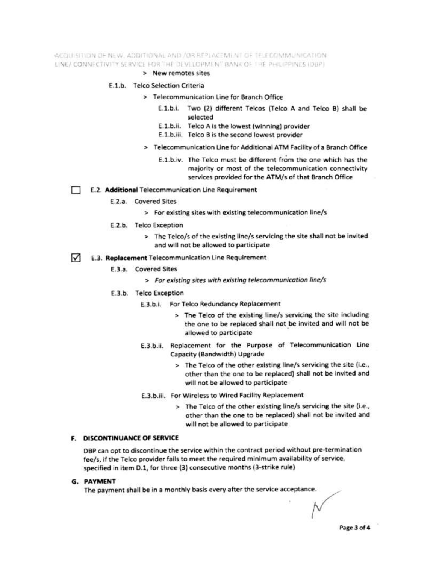#### ACQUISITION OF NEW, ADDITIONAL AND /OR REPLACEMENT OF TELECOMMUNICATION. LINE/ CONNECTIVITY SERVICE FOR THE DEVELOPMENT BANK OF THE PHILIPPINES (DBP).

> New remotes sites

## E.1.b. Telco Selection Criteria

- > Telecommunication Line for Branch Office
	- E.1.b.i. Two (2) different Telcos (Telco A and Telco B) shall be selected
	- E.1.b.ii. Telco A is the lowest (winning) provider
	- E.1.b.iii. Telco B is the second lowest provider
- > Telecommunication Line for Additional ATM Facility of a Branch Office
	- E.1.b.iv. The Telco must be different from the one which has the majority or most of the telecommunication connectivity services provided for the ATM/s of that Branch Office

E.2. Additional Telecommunication Line Requirement

- E.2.a. Covered Sites
	- > For existing sites with existing telecommunication line/s
- E.2.b. Telco Exception
	- > The Telco/s of the existing line/s servicing the site shall not be invited and will not be allowed to participate
- ☑ E.3. Replacement Telecommunication Line Requirement
	- **E.3.a.** Covered Sites
		- > For existing sites with existing telecommunication line/s
	- E.3.b. Telco Exception
		- E.3.b.i. For Telco Redundancy Replacement
			- > The Telco of the existing line/s servicing the site including the one to be replaced shall not be invited and will not be allowed to participate
		- E.3.b.ii. Replacement for the Purpose of Telecommunication Line Capacity (Bandwidth) Upgrade
			- > The Teico of the other existing line/s servicing the site (i.e., other than the one to be replaced) shall not be invited and will not be allowed to participate
		- E.3.b.iii. For Wireless to Wired Facility Replacement
			- > The Telco of the other existing line/s servicing the site (i.e., other than the one to be replaced) shall not be invited and will not be allowed to participate

## **F. DISCONTINUANCE OF SERVICE**

DBP can opt to discontinue the service within the contract period without pre-termination fee/s, if the Telco provider fails to meet the required minimum availability of service, specified in item D.1, for three (3) consecutive months (3-strike rule)

## **G. PAYMENT**

The payment shall be in a monthly basis every after the service acceptance.